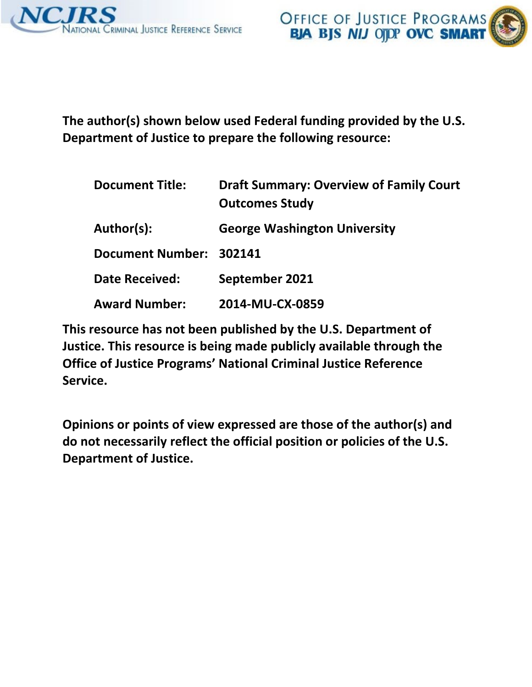

 **The author(s) shown below used Federal funding provided by the U.S. Department of Justice to prepare the following resource:** 

| <b>Document Title:</b>  | <b>Draft Summary: Overview of Family Court</b><br><b>Outcomes Study</b> |
|-------------------------|-------------------------------------------------------------------------|
| Author(s):              | <b>George Washington University</b>                                     |
| Document Number: 302141 |                                                                         |
| <b>Date Received:</b>   | September 2021                                                          |
| <b>Award Number:</b>    | 2014-MU-CX-0859                                                         |

 **This resource has not been published by the U.S. Department of Justice. This resource is being made publicly available through the Office of Justice Programs' National Criminal Justice Reference Service.** 

 **Opinions or points of view expressed are those of the author(s) and do not necessarily reflect the official position or policies of the U.S. Department of Justice.**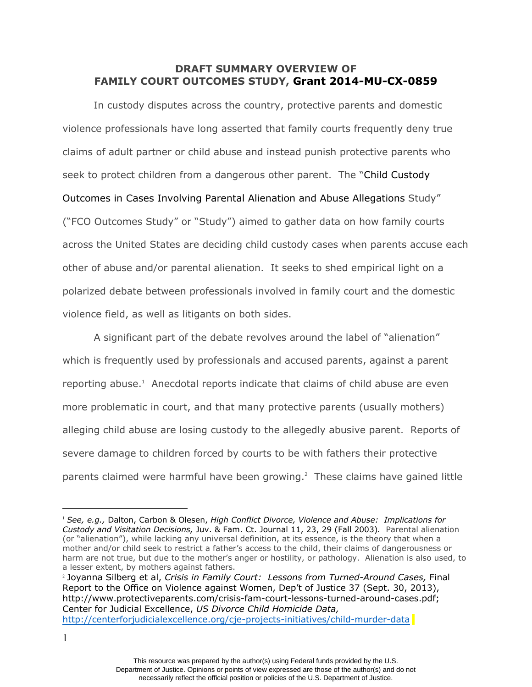## **DRAFT SUMMARY OVERVIEW OF FAMILY COURT OUTCOMES STUDY, Grant 2014-MU-CX-0859**

In custody disputes across the country, protective parents and domestic violence professionals have long asserted that family courts frequently deny true claims of adult partner or child abuse and instead punish protective parents who seek to protect children from a dangerous other parent. The "Child Custody Outcomes in Cases Involving Parental Alienation and Abuse Allegations Study" ("FCO Outcomes Study" or "Study") aimed to gather data on how family courts across the United States are deciding child custody cases when parents accuse each other of abuse and/or parental alienation. It seeks to shed empirical light on a polarized debate between professionals involved in family court and the domestic violence field, as well as litigants on both sides.

A significant part of the debate revolves around the label of "alienation" which is frequently used by professionals and accused parents, against a parent reporting abuse.<sup>1</sup> Anecdotal reports indicate that claims of child abuse are even more problematic in court, and that many protective parents (usually mothers) alleging child abuse are losing custody to the allegedly abusive parent. Reports of severe damage to children forced by courts to be with fathers their protective parents claimed were harmful have been growing. $2$  These claims have gained little

<sup>2</sup> Joyanna Silberg et al, *Crisis in Family Court: Lessons from Turned-Around Cases,* Final Report to the Office on Violence against Women, Dep't of Justice 37 (Sept. 30, 2013), http://www.protectiveparents.com/crisis-fam-court-lessons-turned-around-cases.pdf; Center for Judicial Excellence, *US Divorce Child Homicide Data,*  http://centerforjudicialexcellence.org/cje-projects-initiatives/child-murder-data

1

<sup>1</sup> *See, e.g.,* Dalton, Carbon & Olesen, *High Conflict Divorce, Violence and Abuse: Implications for Custody and Visitation Decisions,* Juv. & Fam. Ct. Journal 11, 23, 29 (Fall 2003)*.* Parental alienation (or "alienation"), while lacking any universal definition, at its essence, is the theory that when a mother and/or child seek to restrict a father's access to the child, their claims of dangerousness or harm are not true, but due to the mother's anger or hostility, or pathology. Alienation is also used, to a lesser extent, by mothers against fathers.

This resource was prepared by the author(s) using Federal funds provided by the U.S. Department of Justice. Opinions or points of view expressed are those of the author(s) and do not necessarily reflect the official position or policies of the U.S. Department of Justice.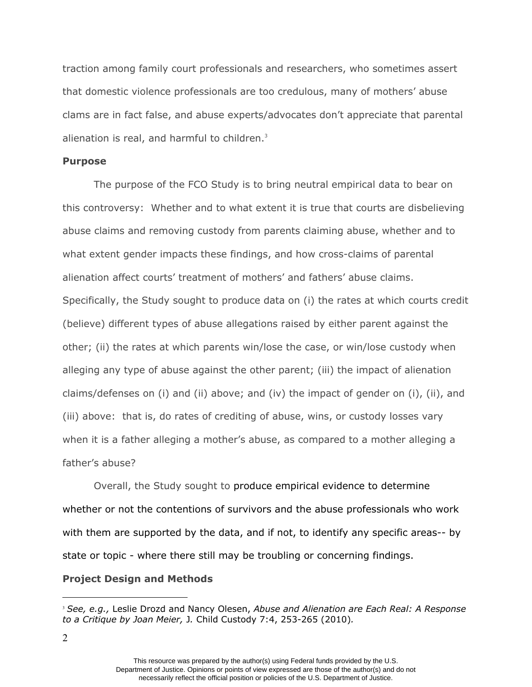alienation is real, and harmful to children.<sup>3</sup> traction among family court professionals and researchers, who sometimes assert that domestic violence professionals are too credulous, many of mothers' abuse clams are in fact false, and abuse experts/advocates don't appreciate that parental

#### **Purpose**

The purpose of the FCO Study is to bring neutral empirical data to bear on this controversy: Whether and to what extent it is true that courts are disbelieving abuse claims and removing custody from parents claiming abuse, whether and to what extent gender impacts these findings, and how cross-claims of parental alienation affect courts' treatment of mothers' and fathers' abuse claims. Specifically, the Study sought to produce data on (i) the rates at which courts credit (believe) different types of abuse allegations raised by either parent against the other; (ii) the rates at which parents win/lose the case, or win/lose custody when alleging any type of abuse against the other parent; (iii) the impact of alienation claims/defenses on (i) and (ii) above; and (iv) the impact of gender on (i), (ii), and (iii) above: that is, do rates of crediting of abuse, wins, or custody losses vary when it is a father alleging a mother's abuse, as compared to a mother alleging a father's abuse?

Overall, the Study sought to produce empirical evidence to determine whether or not the contentions of survivors and the abuse professionals who work with them are supported by the data, and if not, to identify any specific areas-- by state or topic - where there still may be troubling or concerning findings.

#### **Project Design and Methods**

<sup>3</sup> *See, e.g.,* Leslie Drozd and Nancy Olesen, *Abuse and Alienation are Each Real: A Response to a Critique by Joan Meier,* J*.* Child Custody 7:4, 253-265 (2010)*.* 

This resource was prepared by the author(s) using Federal funds provided by the U.S. Department of Justice. Opinions or points of view expressed are those of the author(s) and do not necessarily reflect the official position or policies of the U.S. Department of Justice.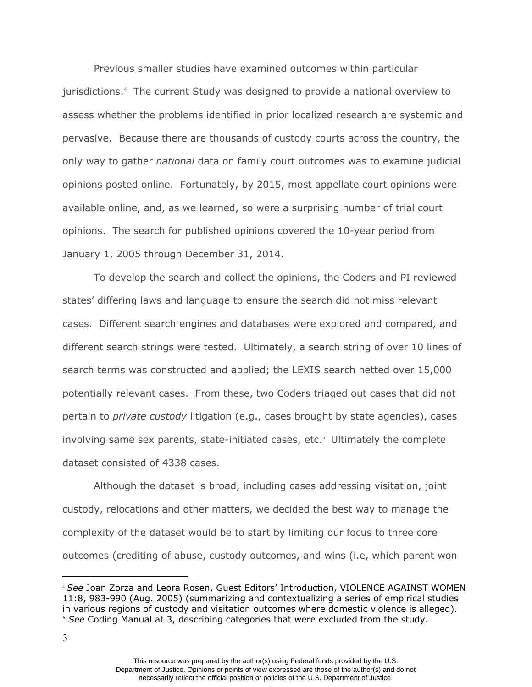Previous smaller studies have examined outcomes within particular jurisdictions.4 The current Study was designed to provide a national overview to assess whether the problems identified in prior localized research are systemic and pervasive. Because there are thousands of custody courts across the country, the only way to gather *national* data on family court outcomes was to examine judicial opinions posted online. Fortunately, by 2015, most appellate court opinions were available online, and, as we learned, so were a surprising number of trial court opinions. The search for published opinions covered the 10-year period from January 1, 2005 through December 31, 2014.

To develop the search and collect the opinions, the Coders and PI reviewed states' differing laws and language to ensure the search did not miss relevant cases. Different search engines and databases were explored and compared, and different search strings were tested. Ultimately, a search string of over 10 lines of search terms was constructed and applied; the LEXIS search netted over 15,000 potentially relevant cases. From these, two Coders triaged out cases that did not pertain to *private custody* litigation (e.g., cases brought by state agencies), cases involving same sex parents, state-initiated cases, etc. $5$  Ultimately the complete dataset consisted of 4338 cases.

Although the dataset is broad, including cases addressing visitation, joint custody, relocations and other matters, we decided the best way to manage the complexity of the dataset would be to start by limiting our focus to three core outcomes (crediting of abuse, custody outcomes, and wins (i.e, which parent won

<sup>4</sup> *See* Joan Zorza and Leora Rosen, Guest Editors' Introduction, VIOLENCE AGAINST WOMEN 11:8, 983-990 (Aug. 2005) (summarizing and contextualizing a series of empirical studies in various regions of custody and visitation outcomes where domestic violence is alleged). <sup>5</sup> *See* Coding Manual at 3, describing categories that were excluded from the study.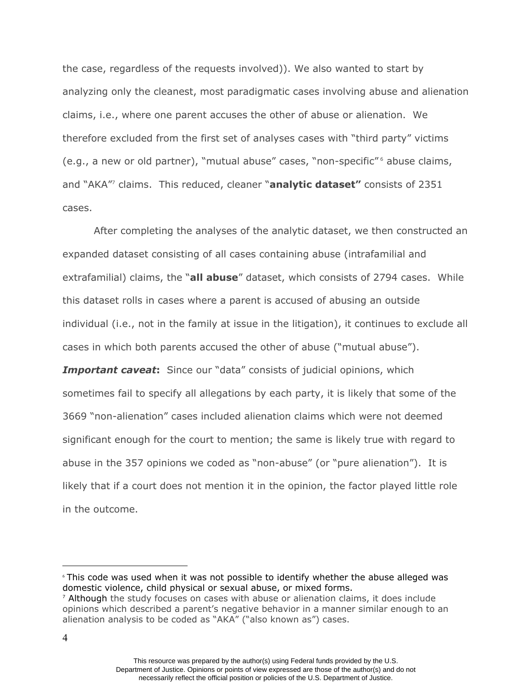claims, i.e., where one parent accuses the other of abuse or alienation. We the case, regardless of the requests involved)). We also wanted to start by analyzing only the cleanest, most paradigmatic cases involving abuse and alienation therefore excluded from the first set of analyses cases with "third party" victims (e.g., a new or old partner), "mutual abuse" cases, "non-specific"<sup>6</sup> abuse claims, and "AKA"7 claims. This reduced, cleaner "**analytic dataset"** consists of 2351 cases.

After completing the analyses of the analytic dataset, we then constructed an expanded dataset consisting of all cases containing abuse (intrafamilial and extrafamilial) claims, the "**all abuse**" dataset, which consists of 2794 cases. While this dataset rolls in cases where a parent is accused of abusing an outside individual (i.e., not in the family at issue in the litigation), it continues to exclude all cases in which both parents accused the other of abuse ("mutual abuse"). **Important caveat:** Since our "data" consists of judicial opinions, which sometimes fail to specify all allegations by each party, it is likely that some of the 3669 "non-alienation" cases included alienation claims which were not deemed significant enough for the court to mention; the same is likely true with regard to abuse in the 357 opinions we coded as "non-abuse" (or "pure alienation"). It is likely that if a court does not mention it in the opinion, the factor played little role in the outcome.

<sup>6</sup> This code was used when it was not possible to identify whether the abuse alleged was domestic violence, child physical or sexual abuse, or mixed forms.

<sup>&</sup>lt;sup>7</sup> Although the study focuses on cases with abuse or alienation claims, it does include opinions which described a parent's negative behavior in a manner similar enough to an alienation analysis to be coded as "AKA" ("also known as") cases.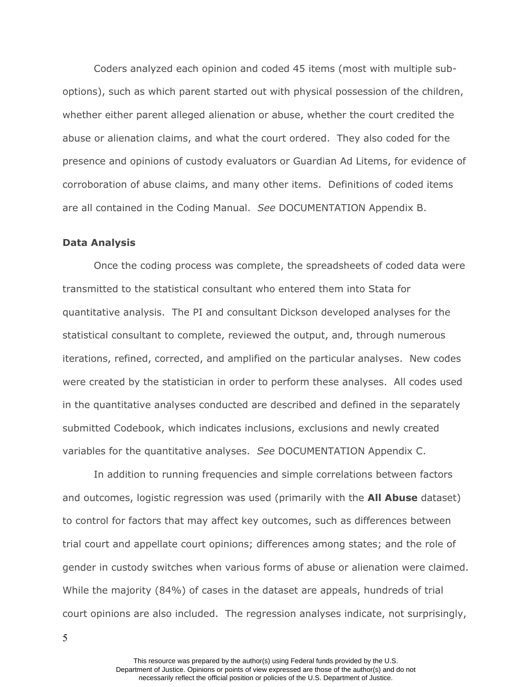Coders analyzed each opinion and coded 45 items (most with multiple suboptions), such as which parent started out with physical possession of the children, whether either parent alleged alienation or abuse, whether the court credited the abuse or alienation claims, and what the court ordered. They also coded for the presence and opinions of custody evaluators or Guardian Ad Litems, for evidence of corroboration of abuse claims, and many other items. Definitions of coded items are all contained in the Coding Manual. *See* DOCUMENTATION Appendix B.

#### **Data Analysis**

 variables for the quantitative analyses. *See* DOCUMENTATION Appendix C. Once the coding process was complete, the spreadsheets of coded data were transmitted to the statistical consultant who entered them into Stata for quantitative analysis. The PI and consultant Dickson developed analyses for the statistical consultant to complete, reviewed the output, and, through numerous iterations, refined, corrected, and amplified on the particular analyses. New codes were created by the statistician in order to perform these analyses. All codes used in the quantitative analyses conducted are described and defined in the separately submitted Codebook, which indicates inclusions, exclusions and newly created

 gender in custody switches when various forms of abuse or alienation were claimed. In addition to running frequencies and simple correlations between factors and outcomes, logistic regression was used (primarily with the **All Abuse** dataset) to control for factors that may affect key outcomes, such as differences between trial court and appellate court opinions; differences among states; and the role of While the majority (84%) of cases in the dataset are appeals, hundreds of trial court opinions are also included. The regression analyses indicate, not surprisingly,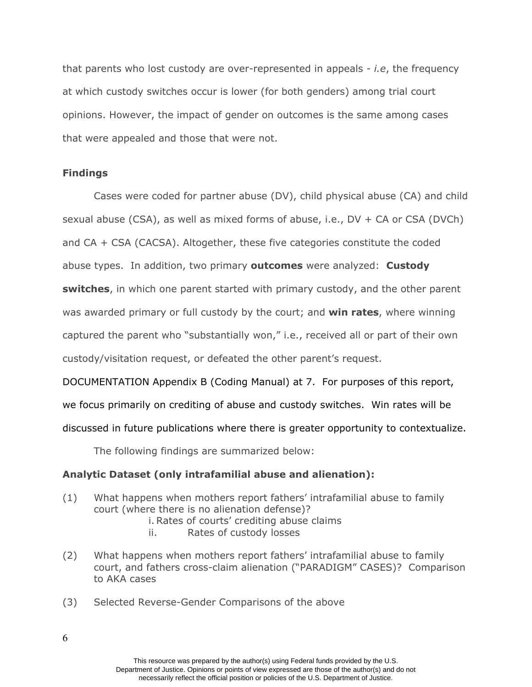that parents who lost custody are over-represented in appeals - *i.e*, the frequency at which custody switches occur is lower (for both genders) among trial court opinions. However, the impact of gender on outcomes is the same among cases that were appealed and those that were not.

#### **Findings**

Cases were coded for partner abuse (DV), child physical abuse (CA) and child sexual abuse (CSA), as well as mixed forms of abuse, i.e., DV + CA or CSA (DVCh) and CA + CSA (CACSA). Altogether, these five categories constitute the coded abuse types. In addition, two primary **outcomes** were analyzed: **Custody switches**, in which one parent started with primary custody, and the other parent was awarded primary or full custody by the court; and **win rates**, where winning captured the parent who "substantially won," i.e., received all or part of their own custody/visitation request, or defeated the other parent's request.

DOCUMENTATION Appendix B (Coding Manual) at 7. For purposes of this report, we focus primarily on crediting of abuse and custody switches. Win rates will be discussed in future publications where there is greater opportunity to contextualize.

The following findings are summarized below:

#### **Analytic Dataset (only intrafamilial abuse and alienation):**

- (1) What happens when mothers report fathers' intrafamilial abuse to family court (where there is no alienation defense)?
	- i. Rates of courts' crediting abuse claims
	- ii. Rates of custody losses
- (2) What happens when mothers report fathers' intrafamilial abuse to family court, and fathers cross-claim alienation ("PARADIGM" CASES)? Comparison to AKA cases
- (3) Selected Reverse-Gender Comparisons of the above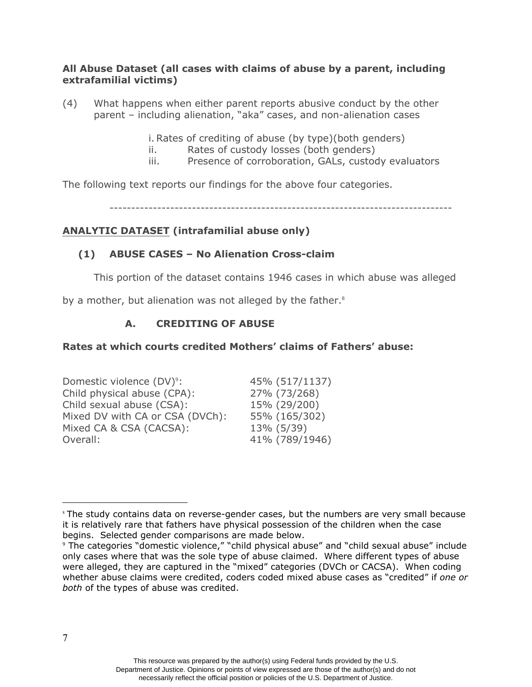#### **All Abuse Dataset (all cases with claims of abuse by a parent, including extrafamilial victims)**

(4) What happens when either parent reports abusive conduct by the other parent – including alienation, "aka" cases, and non-alienation cases

i. Rates of crediting of abuse (by type)(both genders)

- ii. Rates of custody losses (both genders)
- iii. Presence of corroboration, GALs, custody evaluators

The following text reports our findings for the above four categories.

-------------------------------------------------------------------------------

# **ANALYTIC DATASET (intrafamilial abuse only)**

### **(1) ABUSE CASES – No Alienation Cross-claim**

This portion of the dataset contains 1946 cases in which abuse was alleged

by a mother, but alienation was not alleged by the father.<sup>8</sup>

### **A. CREDITING OF ABUSE**

#### **Rates at which courts credited Mothers' claims of Fathers' abuse:**

| Domestic violence (DV) <sup>9</sup> : | 45% (517/1137) |
|---------------------------------------|----------------|
| Child physical abuse (CPA):           | 27% (73/268)   |
| Child sexual abuse (CSA):             | 15% (29/200)   |
| Mixed DV with CA or CSA (DVCh):       | 55% (165/302)  |
| Mixed CA & CSA (CACSA):               | 13% (5/39)     |
| Overall:                              | 41% (789/1946) |

<sup>&</sup>lt;sup>8</sup> The study contains data on reverse-gender cases, but the numbers are very small because it is relatively rare that fathers have physical possession of the children when the case begins. Selected gender comparisons are made below.

<sup>9</sup> The categories "domestic violence," "child physical abuse" and "child sexual abuse" include only cases where that was the sole type of abuse claimed. Where different types of abuse were alleged, they are captured in the "mixed" categories (DVCh or CACSA). When coding whether abuse claims were credited, coders coded mixed abuse cases as "credited" if *one or both* of the types of abuse was credited.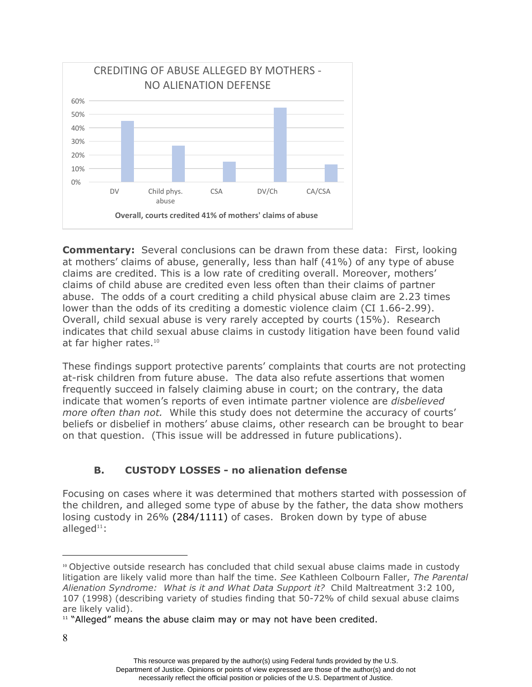

**Commentary:** Several conclusions can be drawn from these data: First, looking at mothers' claims of abuse, generally, less than half (41%) of any type of abuse claims are credited. This is a low rate of crediting overall. Moreover, mothers' claims of child abuse are credited even less often than their claims of partner abuse. The odds of a court crediting a child physical abuse claim are 2.23 times lower than the odds of its crediting a domestic violence claim (CI [1.66-2.99](https://1.66-2.99)). Overall, child sexual abuse is very rarely accepted by courts (15%). Research indicates that child sexual abuse claims in custody litigation have been found valid at far higher rates.<sup>10</sup>

These findings support protective parents' complaints that courts are not protecting at-risk children from future abuse. The data also refute assertions that women frequently succeed in falsely claiming abuse in court; on the contrary, the data indicate that women's reports of even intimate partner violence are *disbelieved more often than not.* While this study does not determine the accuracy of courts' beliefs or disbelief in mothers' abuse claims, other research can be brought to bear on that question. (This issue will be addressed in future publications).

# **B. CUSTODY LOSSES - no alienation defense**

Focusing on cases where it was determined that mothers started with possession of the children, and alleged some type of abuse by the father, the data show mothers losing custody in 26% (284/1111) of cases. Broken down by type of abuse alleged $11$ :

<sup>10</sup> Objective outside research has concluded that child sexual abuse claims made in custody litigation are likely valid more than half the time. *See* Kathleen Colbourn Faller, *The Parental Alienation Syndrome: What is it and What Data Support it?* Child Maltreatment 3:2 100, 107 (1998) (describing variety of studies finding that 50-72% of child sexual abuse claims are likely valid).

 $11$  "Alleged" means the abuse claim may or may not have been credited.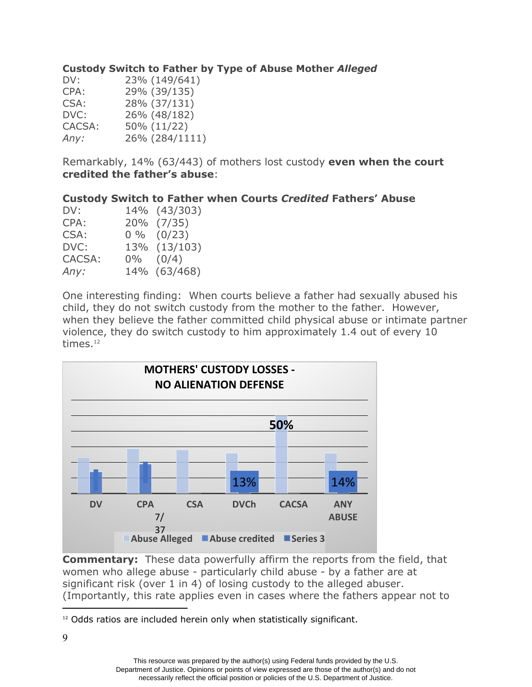### **Custody Switch to Father by Type of Abuse Mother** *Alleged*

| 23% (149/641)  |
|----------------|
| 29% (39/135)   |
| 28% (37/131)   |
| 26% (48/182)   |
| 50% (11/22)    |
| 26% (284/1111) |
|                |

Remarkably, 14% (63/443) of mothers lost custody **even when the court credited the father's abuse**:

### **Custody Switch to Father when Courts** *Credited* **Fathers' Abuse**

| 14% (43/303)   |
|----------------|
| 20% (7/35)     |
| $0\%$ $(0/23)$ |
| 13% (13/103)   |
| $0\%$ $(0/4)$  |
| 14% (63/468)   |
|                |

 child, they do not switch custody from the mother to the father. However, times. $^{12}$ One interesting finding: When courts believe a father had sexually abused his when they believe the father committed child physical abuse or intimate partner violence, they do switch custody to him approximately 1.4 out of every 10



**Commentary:** These data powerfully affirm the reports from the field, that women who allege abuse - particularly child abuse - by a father are at significant risk (over 1 in 4) of losing custody to the alleged abuser. (Importantly, this rate applies even in cases where the fathers appear not to

<sup>&</sup>lt;sup>12</sup> Odds ratios are included herein only when statistically significant.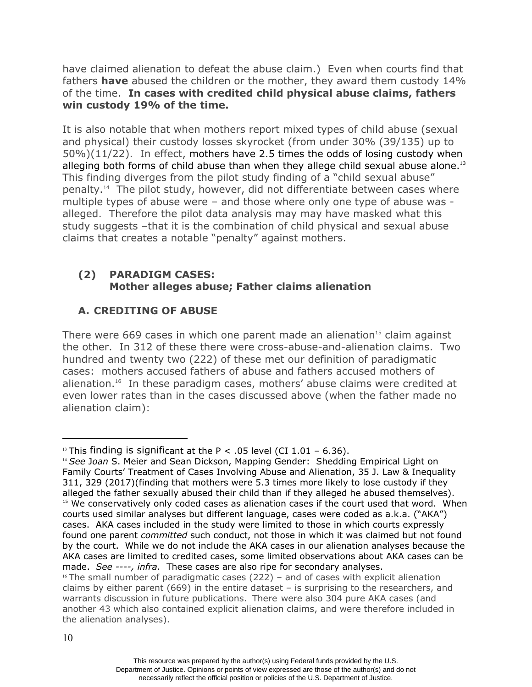have claimed alienation to defeat the abuse claim.) Even when courts find that fathers **have** abused the children or the mother, they award them custody 14% of the time. **In cases with credited child physical abuse claims, fathers win custody 19% of the time.**

alleging both forms of child abuse than when they allege child sexual abuse alone. $^{13}$  [penalty.14](https://penalty.14) The pilot study, however, did not differentiate between cases where claims that creates a notable "penalty" against mothers. It is also notable that when mothers report mixed types of child abuse (sexual and physical) their custody losses skyrocket (from under 30% (39/135) up to 50%)(11/22). In effect, mothers have 2.5 times the odds of losing custody when This finding diverges from the pilot study finding of a "child sexual abuse" multiple types of abuse were – and those where only one type of abuse was alleged. Therefore the pilot data analysis may may have masked what this study suggests –that it is the combination of child physical and sexual abuse

# **(2) PARADIGM CASES: Mother alleges abuse; Father claims alienation**

# **A. CREDITING OF ABUSE**

There were  $669$  cases in which one parent made an alienation<sup>15</sup> claim against the other. In 312 of these there were cross-abuse-and-alienation claims. Two hundred and twenty two (222) of these met our definition of paradigmatic cases: mothers accused fathers of abuse and fathers accused mothers of [alienation.16](https://alienation.16) In these paradigm cases, mothers' abuse claims were credited at even lower rates than in the cases discussed above (when the father made no alienation claim):

<sup>&</sup>lt;sup>13</sup> This finding is significant at the P < .05 level (CI 1.01 – 6.36).

<sup>14</sup> *See* J*oan* S. Meier and Sean Dickson, Mapping Gender: Shedding Empirical Light on Family Courts' Treatment of Cases Involving Abuse and Alienation, 35 J. Law & Inequality 311, 329 (2017)(finding that mothers were 5.3 times more likely to lose custody if they alleged the father sexually abused their child than if they alleged he abused themselves).  $15$  We conservatively only coded cases as alienation cases if the court used that word. When courts used similar analyses but different language, cases were coded as a.k.a. ("AKA") cases. AKA cases included in the study were limited to those in which courts expressly found one parent *committed* such conduct, not those in which it was claimed but not found by the court. While we do not include the AKA cases in our alienation analyses because the AKA cases are limited to credited cases, some limited observations about AKA cases can be made. *See ----, infra.* These cases are also ripe for secondary analyses.

 $16$  The small number of paradigmatic cases (222) – and of cases with explicit alienation claims by either parent  $(669)$  in the entire dataset – is surprising to the researchers, and warrants discussion in future publications. There were also 304 pure AKA cases (and another 43 which also contained explicit alienation claims, and were therefore included in the alienation analyses).

This resource was prepared by the author(s) using Federal funds provided by the U.S. Department of Justice. Opinions or points of view expressed are those of the author(s) and do not necessarily reflect the official position or policies of the U.S. Department of Justice.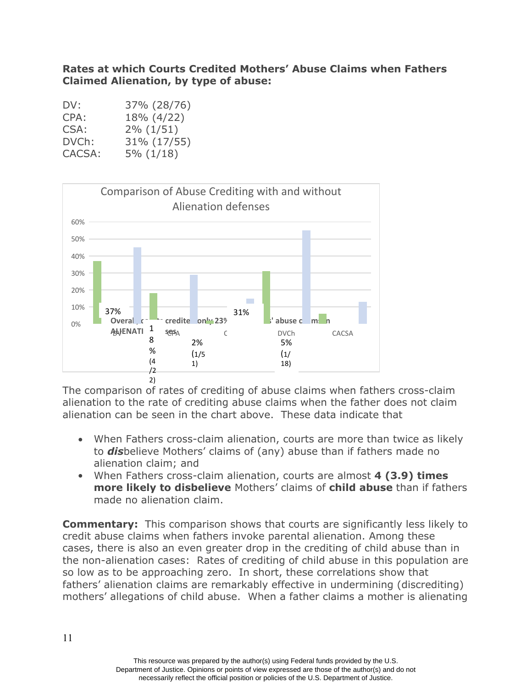# **Rates at which Courts Credited Mothers' Abuse Claims when Fathers Claimed Alienation, by type of abuse:**

| DV:    | 37% (28/76) |
|--------|-------------|
| CPA:   | 18% (4/22)  |
| CSA:   | 2% (1/51)   |
| DVCh:  | 31% (17/55) |
| CACSA: | 5% (1/18)   |



The comparison of rates of crediting of abuse claims when fathers cross-claim alienation to the rate of crediting abuse claims when the father does not claim alienation can be seen in the chart above. These data indicate that

- alienation claim; and When Fathers cross-claim alienation, courts are more than twice as likely to *dis*believe Mothers' claims of (any) abuse than if fathers made no
- When Fathers cross-claim alienation, courts are almost **4 (3.9) times more likely to disbelieve** Mothers' claims of **child abuse** than if fathers made no alienation claim.

**Commentary:** This comparison shows that courts are significantly less likely to credit abuse claims when fathers invoke parental alienation. Among these cases, there is also an even greater drop in the crediting of child abuse than in the non-alienation cases: Rates of crediting of child abuse in this population are so low as to be approaching zero. In short, these correlations show that fathers' alienation claims are remarkably effective in undermining (discrediting) mothers' allegations of child abuse. When a father claims a mother is alienating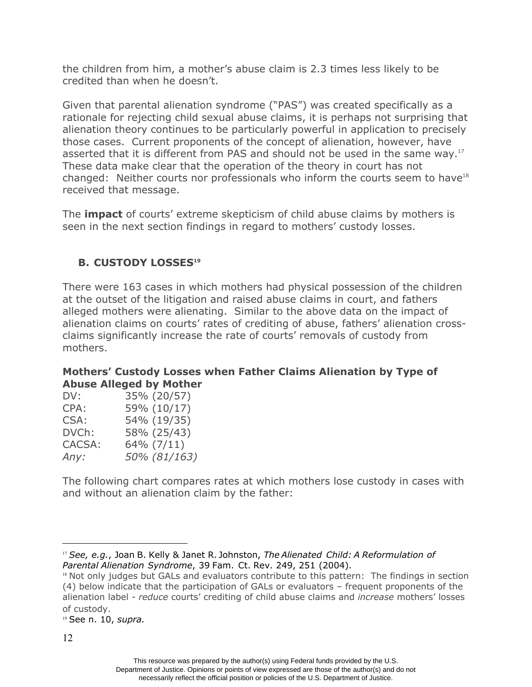the children from him, a mother's abuse claim is 2.3 times less likely to be credited than when he doesn't.

asserted that it is different from PAS and should not be used in the same way.<sup>17</sup> Given that parental alienation syndrome ("PAS") was created specifically as a rationale for rejecting child sexual abuse claims, it is perhaps not surprising that alienation theory continues to be particularly powerful in application to precisely those cases. Current proponents of the concept of alienation, however, have These data make clear that the operation of the theory in court has not changed: Neither courts nor professionals who inform the courts seem to have $18$ received that message.

The **impact** of courts' extreme skepticism of child abuse claims by mothers is seen in the next section findings in regard to mothers' custody losses.

# **B. CUSTODY LOSSES<sup>19</sup>**

There were 163 cases in which mothers had physical possession of the children at the outset of the litigation and raised abuse claims in court, and fathers alleged mothers were alienating. Similar to the above data on the impact of alienation claims on courts' rates of crediting of abuse, fathers' alienation crossclaims significantly increase the rate of courts' removals of custody from mothers.

# **Mothers' Custody Losses when Father Claims Alienation by Type of Abuse Alleged by Mother**

| DV:    | 35% (20/57)  |
|--------|--------------|
| CPA:   | 59% (10/17)  |
| CSA:   | 54% (19/35)  |
| DVCh:  | 58% (25/43)  |
| CACSA: | 64% (7/11)   |
| Any:   | 50% (81/163) |
|        |              |

The following chart compares rates at which mothers lose custody in cases with and without an alienation claim by the father:

<sup>19</sup> See n. 10, *supra.*

 <sup>17</sup> *See, e.g.*, Joan B. Kelly & Janet R. Johnston, *The Alienated Child: A Reformulation of Parental Alienation Syndrome*, 39 Fam. Ct. Rev. 249, 251 (2004).

<sup>&</sup>lt;sup>18</sup> Not only judges but GALs and evaluators contribute to this pattern: The findings in section (4) below indicate that the participation of GALs or evaluators – frequent proponents of the alienation label - *reduce* courts' crediting of child abuse claims and *increase* mothers' losses of custody.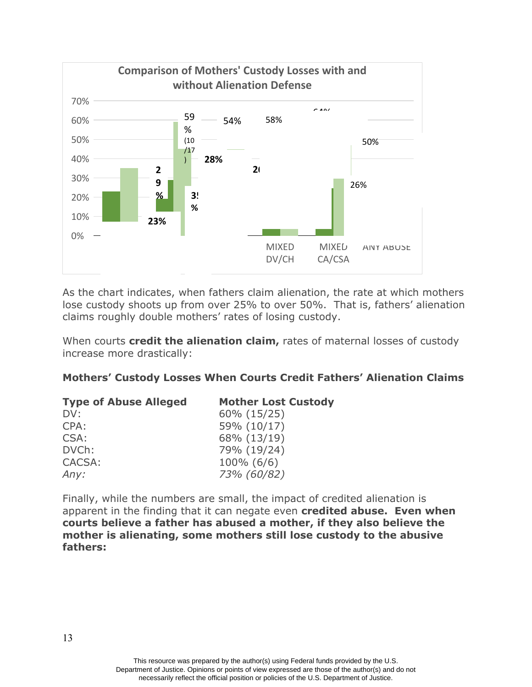

As the chart indicates, when fathers claim alienation, the rate at which mothers lose custody shoots up from over 25% to over 50%. That is, fathers' alienation claims roughly double mothers' rates of losing custody.

When courts **credit the alienation claim,** rates of maternal losses of custody increase more drastically:

# **Mothers' Custody Losses When Courts Credit Fathers' Alienation Claims**

| <b>Type of Abuse Alleged</b> | <b>Mother Lost Custody</b> |
|------------------------------|----------------------------|
| DV:                          | 60% (15/25)                |
| CPA:                         | 59% (10/17)                |
| CSA:                         | 68% (13/19)                |
| DVCh:                        | 79% (19/24)                |
| CACSA:                       | $100\%$ (6/6)              |
| Any:                         | 73% (60/82)                |

Finally, while the numbers are small, the impact of credited alienation is apparent in the finding that it can negate even **credited abuse. Even when courts believe a father has abused a mother, if they also believe the mother is alienating, some mothers still lose custody to the abusive fathers:**

> This resource was prepared by the author(s) using Federal funds provided by the U.S. Department of Justice. Opinions or points of view expressed are those of the author(s) and do not necessarily reflect the official position or policies of the U.S. Department of Justice.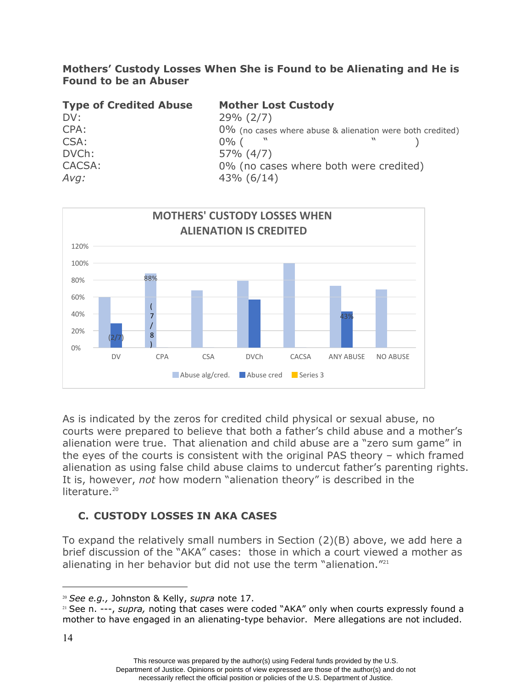### **Mothers' Custody Losses When She is Found to be Alienating and He is Found to be an Abuser**

| <b>Type of Credited Abuse</b> | <b>Mother Lost Custody</b>                                   |
|-------------------------------|--------------------------------------------------------------|
| DV:                           | $29\% (2/7)$                                                 |
| CPA:                          | $0\%$ (no cases where abuse & alienation were both credited) |
| CSA:                          | $0\%$ (                                                      |
| DVCh:                         | $57\% (4/7)$                                                 |
| CACSA:                        | 0% (no cases where both were credited)                       |
| Avg:                          | $43\%$ (6/14)                                                |



literature.<sup>20</sup> As is indicated by the zeros for credited child physical or sexual abuse, no courts were prepared to believe that both a father's child abuse and a mother's alienation were true. That alienation and child abuse are a "zero sum game" in the eyes of the courts is consistent with the original PAS theory – which framed alienation as using false child abuse claims to undercut father's parenting rights. It is, however, *not* how modern "alienation theory" is described in the

# **C. CUSTODY LOSSES IN AKA CASES**

To expand the relatively small numbers in Section (2)(B) above, we add here a brief discussion of the "AKA" cases: those in which a court viewed a mother as alienating in her behavior but did not use the term "alienation."<sup>21</sup>

<sup>20</sup> *See e.g.,* Johnston & Kelly, *supra* note 17.

<sup>&</sup>lt;sup>21</sup> See n. ---, *supra*, noting that cases were coded "AKA" only when courts expressly found a mother to have engaged in an alienating-type behavior. Mere allegations are not included.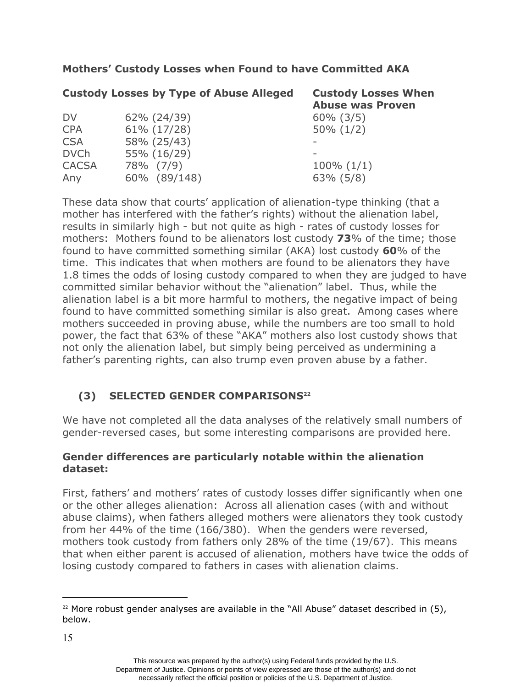# **Mothers' Custody Losses when Found to have Committed AKA**

|              | <b>Custody Losses by Type of Abuse Alleged</b> | <b>Custody Losses When</b><br><b>Abuse was Proven</b> |
|--------------|------------------------------------------------|-------------------------------------------------------|
| <b>DV</b>    | 62% (24/39)                                    | $60\%$ $(3/5)$                                        |
| <b>CPA</b>   | $61\% (17/28)$                                 | $50\% (1/2)$                                          |
| <b>CSA</b>   | 58% (25/43)                                    |                                                       |
| <b>DVCh</b>  | 55% (16/29)                                    |                                                       |
| <b>CACSA</b> | 78% (7/9)                                      | $100\% (1/1)$                                         |
| Any          | 60% (89/148)                                   | $63\%$ $(5/8)$                                        |

 time. This indicates that when mothers are found to be alienators they have These data show that courts' application of alienation-type thinking (that a mother has interfered with the father's rights) without the alienation label, results in similarly high - but not quite as high - rates of custody losses for mothers: Mothers found to be alienators lost custody **73**% of the time; those found to have committed something similar (AKA) lost custody **60**% of the 1.8 times the odds of losing custody compared to when they are judged to have committed similar behavior without the "alienation" label. Thus, while the alienation label is a bit more harmful to mothers, the negative impact of being found to have committed something similar is also great. Among cases where mothers succeeded in proving abuse, while the numbers are too small to hold power, the fact that 63% of these "AKA" mothers also lost custody shows that not only the alienation label, but simply being perceived as undermining a father's parenting rights, can also trump even proven abuse by a father.

# **(3) SELECTED GENDER COMPARISONS22**

We have not completed all the data analyses of the relatively small numbers of gender-reversed cases, but some interesting comparisons are provided here.

# **Gender differences are particularly notable within the alienation dataset:**

First, fathers' and mothers' rates of custody losses differ significantly when one or the other alleges alienation: Across all alienation cases (with and without abuse claims), when fathers alleged mothers were alienators they took custody from her 44% of the time (166/380). When the genders were reversed, mothers took custody from fathers only 28% of the time (19/67). This means that when either parent is accused of alienation, mothers have twice the odds of losing custody compared to fathers in cases with alienation claims.

 $22$  More robust gender analyses are available in the "All Abuse" dataset described in (5), below.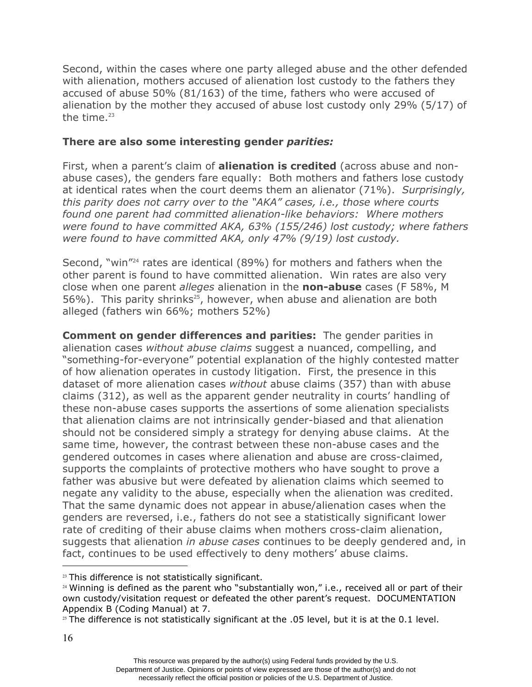the time. $23$ Second, within the cases where one party alleged abuse and the other defended with alienation, mothers accused of alienation lost custody to the fathers they accused of abuse 50% (81/163) of the time, fathers who were accused of alienation by the mother they accused of abuse lost custody only 29% (5/17) of

# **There are also some interesting gender** *parities:*

First, when a parent's claim of **alienation is credited** (across abuse and nonabuse cases), the genders fare equally: Both mothers and fathers lose custody at identical rates when the court deems them an alienator (71%). *Surprisingly, this parity does not carry over to the "AKA" cases, i.e., those where courts found one parent had committed alienation-like behaviors: Where mothers were found to have committed AKA, 63% (155/246) lost custody; where fathers were found to have committed AKA, only 47% (9/19) lost custody.* 

Second, "win"<sup>24</sup> rates are identical (89%) for mothers and fathers when the other parent is found to have committed alienation. Win rates are also very close when one parent *alleges* alienation in the **non-abuse** cases (F 58%, M 56%). This parity shrinks<sup>25</sup>, however, when abuse and alienation are both alleged (fathers win 66%; mothers 52%)

 **Comment on gender differences and parities:** The gender parities in alienation cases *without abuse claims* suggest a nuanced, compelling, and "something-for-everyone" potential explanation of the highly contested matter of how alienation operates in custody litigation. First, the presence in this dataset of more alienation cases *without* abuse claims (357) than with abuse claims (312), as well as the apparent gender neutrality in courts' handling of these non-abuse cases supports the assertions of some alienation specialists that alienation claims are not intrinsically gender-biased and that alienation should not be considered simply a strategy for denying abuse claims. At the same time, however, the contrast between these non-abuse cases and the gendered outcomes in cases where alienation and abuse are cross-claimed, supports the complaints of protective mothers who have sought to prove a father was abusive but were defeated by alienation claims which seemed to negate any validity to the abuse, especially when the alienation was credited. That the same dynamic does not appear in abuse/alienation cases when the genders are reversed, i.e., fathers do not see a statistically significant lower rate of crediting of their abuse claims when mothers cross-claim alienation, suggests that alienation *in abuse cases* continues to be deeply gendered and, in fact, continues to be used effectively to deny mothers' abuse claims.

<sup>&</sup>lt;sup>23</sup> This difference is not statistically significant.

<sup>&</sup>lt;sup>24</sup> Winning is defined as the parent who "substantially won," i.e., received all or part of their own custody/visitation request or defeated the other parent's request. DOCUMENTATION Appendix B (Coding Manual) at 7.

 $25$  The difference is not statistically significant at the .05 level, but it is at the 0.1 level.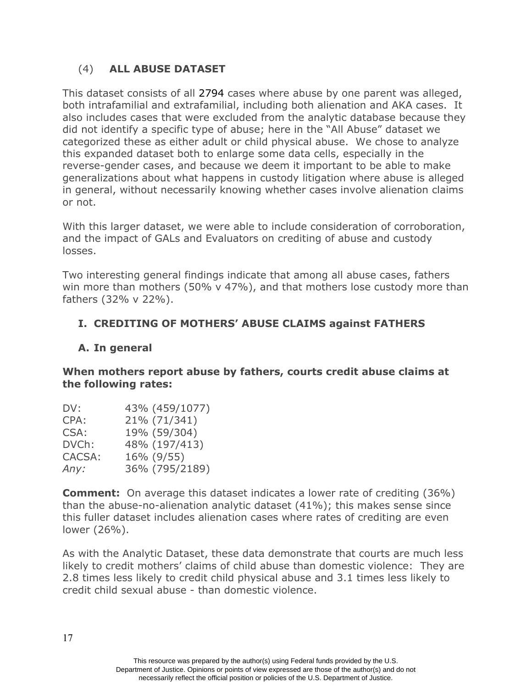# (4) **ALL ABUSE DATASET**

This dataset consists of all 2794 cases where abuse by one parent was alleged, both intrafamilial and extrafamilial, including both alienation and AKA cases. It also includes cases that were excluded from the analytic database because they did not identify a specific type of abuse; here in the "All Abuse" dataset we categorized these as either adult or child physical abuse. We chose to analyze this expanded dataset both to enlarge some data cells, especially in the reverse-gender cases, and because we deem it important to be able to make generalizations about what happens in custody litigation where abuse is alleged in general, without necessarily knowing whether cases involve alienation claims or not.

With this larger dataset, we were able to include consideration of corroboration, and the impact of GALs and Evaluators on crediting of abuse and custody losses.

Two interesting general findings indicate that among all abuse cases, fathers win more than mothers (50% v 47%), and that mothers lose custody more than fathers (32% v 22%).

# **I. CREDITING OF MOTHERS' ABUSE CLAIMS against FATHERS**

# **A. In general**

### **When mothers report abuse by fathers, courts credit abuse claims at the following rates:**

| DV:    | 43% (459/1077) |
|--------|----------------|
| CPA:   | 21% (71/341)   |
| CSA:   | 19% (59/304)   |
| DVCh:  | 48% (197/413)  |
| CACSA: | 16% (9/55)     |
| Any:   | 36% (795/2189) |

**Comment:** On average this dataset indicates a lower rate of crediting (36%) than the abuse-no-alienation analytic dataset (41%); this makes sense since this fuller dataset includes alienation cases where rates of crediting are even lower (26%).

As with the Analytic Dataset, these data demonstrate that courts are much less likely to credit mothers' claims of child abuse than domestic violence: They are 2.8 times less likely to credit child physical abuse and 3.1 times less likely to credit child sexual abuse - than domestic violence.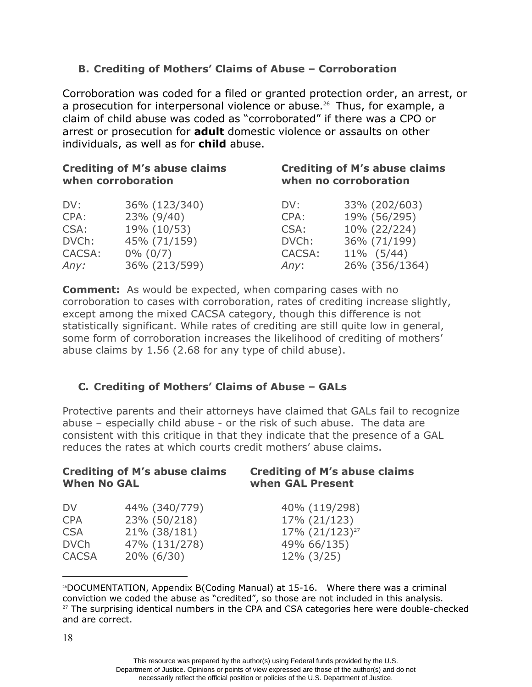# **B. Crediting of Mothers' Claims of Abuse – Corroboration**

Corroboration was coded for a filed or granted protection order, an arrest, or a prosecution for interpersonal violence or abuse.<sup>26</sup> Thus, for example, a claim of child abuse was coded as "corroborated" if there was a CPO or arrest or prosecution for **adult** domestic violence or assaults on other individuals, as well as for **child** abuse.

| <b>Crediting of M's abuse claims</b><br>when corroboration |               | <b>Crediting of M's abuse claims</b><br>when no corroboration |                |  |
|------------------------------------------------------------|---------------|---------------------------------------------------------------|----------------|--|
| DV:                                                        | 36% (123/340) | DV:                                                           | 33% (202/603)  |  |
| CPA:                                                       | 23% (9/40)    | CPA:                                                          | 19% (56/295)   |  |
| CSA:                                                       | 19% (10/53)   | CSA:                                                          | 10% (22/224)   |  |
| DVCh:                                                      | 45% (71/159)  | DVCh:                                                         | 36% (71/199)   |  |
| CACSA:                                                     | $0\%$ (0/7)   | CACSA:                                                        | 11% (5/44)     |  |
| Any:                                                       | 36% (213/599) | Any:                                                          | 26% (356/1364) |  |

 abuse claims by 1.56 (2.68 for any type of child abuse). **Comment:** As would be expected, when comparing cases with no corroboration to cases with corroboration, rates of crediting increase slightly, except among the mixed CACSA category, though this difference is not statistically significant. While rates of crediting are still quite low in general, some form of corroboration increases the likelihood of crediting of mothers'

# **C. Crediting of Mothers' Claims of Abuse – GALs**

Protective parents and their attorneys have claimed that GALs fail to recognize abuse – especially child abuse - or the risk of such abuse. The data are consistent with this critique in that they indicate that the presence of a GAL reduces the rates at which courts credit mothers' abuse claims.

| <b>Crediting of M's abuse claims</b><br><b>When No GAL</b> | <b>Crediting of M's abuse claims</b><br>when GAL Present |  |
|------------------------------------------------------------|----------------------------------------------------------|--|
| 44% (340/779)                                              | 40% (119/298)                                            |  |
| 23% (50/218)                                               | 17% (21/123)                                             |  |
| 21% (38/181)                                               | 17% (21/123) <sup>27</sup>                               |  |
| 47% (131/278)                                              | 49% 66/135)                                              |  |
| $20\% (6/30)$                                              | $12\%$ (3/25)                                            |  |
|                                                            |                                                          |  |

<sup>26</sup>DOCUMENTATION, Appendix B(Coding Manual) at 15-16. Where there was a criminal conviction we coded the abuse as "credited", so those are not included in this analysis.  $27$  The surprising identical numbers in the CPA and CSA categories here were double-checked and are correct.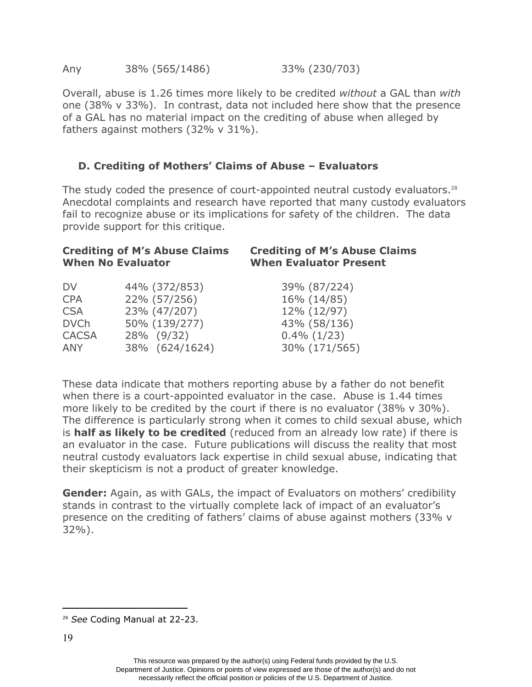Overall, abuse is 1.26 times more likely to be credited *without* a GAL than *with* one (38% v 33%). In contrast, data not included here show that the presence of a GAL has no material impact on the crediting of abuse when alleged by fathers against mothers (32% v 31%).

# **D. Crediting of Mothers' Claims of Abuse – Evaluators**

The study coded the presence of court-appointed neutral custody evaluators. $^{28}$ Anecdotal complaints and research have reported that many custody evaluators fail to recognize abuse or its implications for safety of the children. The data provide support for this critique.

|                | <b>Crediting of M's Abuse Claims</b><br><b>When Evaluator Present</b>                                          |  |  |
|----------------|----------------------------------------------------------------------------------------------------------------|--|--|
| 44% (372/853)  | 39% (87/224)                                                                                                   |  |  |
|                | 16% (14/85)<br>12% (12/97)                                                                                     |  |  |
| 50% (139/277)  | 43% (58/136)                                                                                                   |  |  |
| 38% (624/1624) | $0.4\%$ (1/23)<br>30% (171/565)                                                                                |  |  |
|                | <b>Crediting of M's Abuse Claims</b><br><b>When No Evaluator</b><br>22% (57/256)<br>23% (47/207)<br>28% (9/32) |  |  |

These data indicate that mothers reporting abuse by a father do not benefit when there is a court-appointed evaluator in the case. Abuse is 1.44 times more likely to be credited by the court if there is no evaluator (38% v 30%). The difference is particularly strong when it comes to child sexual abuse, which is **half as likely to be credited** (reduced from an already low rate) if there is an evaluator in the case. Future publications will discuss the reality that most neutral custody evaluators lack expertise in child sexual abuse, indicating that their skepticism is not a product of greater knowledge.

**Gender:** Again, as with GALs, the impact of Evaluators on mothers' credibility stands in contrast to the virtually complete lack of impact of an evaluator's presence on the crediting of fathers' claims of abuse against mothers (33% v 32%).

<sup>28</sup> *See* Coding Manual at 22-23.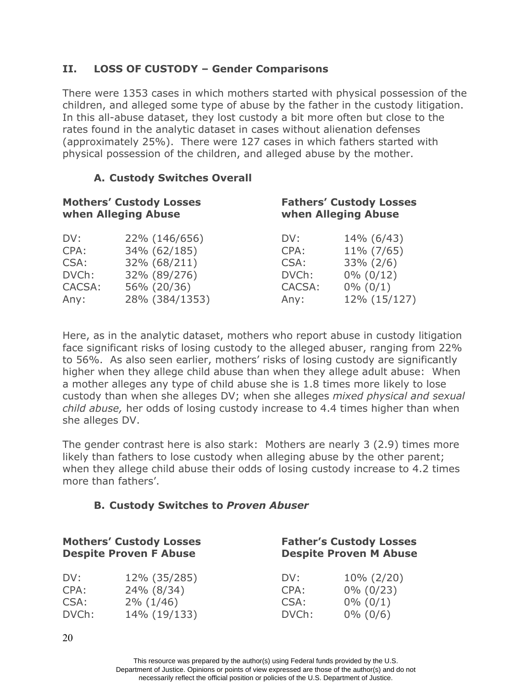# **II. LOSS OF CUSTODY – Gender Comparisons**

There were 1353 cases in which mothers started with physical possession of the children, and alleged some type of abuse by the father in the custody litigation. In this all-abuse dataset, they lost custody a bit more often but close to the rates found in the analytic dataset in cases without alienation defenses (approximately 25%). There were 127 cases in which fathers started with physical possession of the children, and alleged abuse by the mother.

# **A. Custody Switches Overall**

| <b>Mothers' Custody Losses</b><br>when Alleging Abuse |                | <b>Fathers' Custody Losses</b><br>when Alleging Abuse |              |  |
|-------------------------------------------------------|----------------|-------------------------------------------------------|--------------|--|
| DV:                                                   | 22% (146/656)  | DV:                                                   | 14% (6/43)   |  |
| CPA:                                                  | 34% (62/185)   | CPA:                                                  | 11% (7/65)   |  |
| CSA:                                                  | 32% (68/211)   | CSA:                                                  | $33\% (2/6)$ |  |
| DVCh:                                                 | 32% (89/276)   | DVCh:                                                 | $0\% (0/12)$ |  |
| CACSA:                                                | 56% (20/36)    | CACSA:                                                | $0\% (0/1)$  |  |
| Any:                                                  | 28% (384/1353) | Any:                                                  | 12% (15/127) |  |

Here, as in the analytic dataset, mothers who report abuse in custody litigation face significant risks of losing custody to the alleged abuser, ranging from 22% to 56%. As also seen earlier, mothers' risks of losing custody are significantly higher when they allege child abuse than when they allege adult abuse: When a mother alleges any type of child abuse she is 1.8 times more likely to lose custody than when she alleges DV; when she alleges *mixed physical and sexual child abuse,* her odds of losing custody increase to 4.4 times higher than when she alleges DV.

The gender contrast here is also stark: Mothers are nearly 3 (2.9) times more likely than fathers to lose custody when alleging abuse by the other parent; when they allege child abuse their odds of losing custody increase to 4.2 times more than fathers'.

# **B. Custody Switches to** *Proven Abuser*

| <b>Mothers' Custody Losses</b><br><b>Despite Proven F Abuse</b> |              | <b>Father's Custody Losses</b><br><b>Despite Proven M Abuse</b> |               |  |
|-----------------------------------------------------------------|--------------|-----------------------------------------------------------------|---------------|--|
| DV:                                                             | 12% (35/285) | DV:                                                             | $10\% (2/20)$ |  |
| CPA:                                                            | 24% (8/34)   | CPA:                                                            | $0\% (0/23)$  |  |
| CSA:                                                            | $2\% (1/46)$ | CSA:                                                            | $0\% (0/1)$   |  |
| DVCh:                                                           | 14% (19/133) | DVCh:                                                           | $0\% (0/6)$   |  |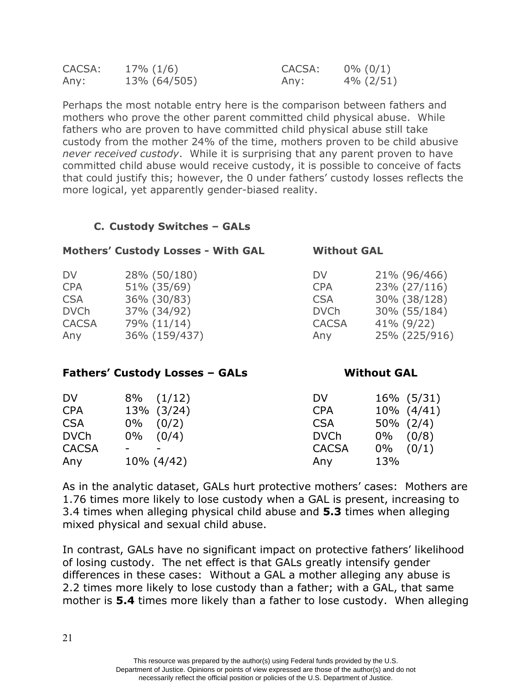| CACSA: | $17\%$ (1/6) | CACSA: | $0\% (0/1)$  |
|--------|--------------|--------|--------------|
| Any:   | 13% (64/505) | Any:   | $4\% (2/51)$ |

Perhaps the most notable entry here is the comparison between fathers and mothers who prove the other parent committed child physical abuse. While fathers who are proven to have committed child physical abuse still take custody from the mother 24% of the time, mothers proven to be child abusive *never received custody*. While it is surprising that any parent proven to have committed child abuse would receive custody, it is possible to conceive of facts that could justify this; however, the 0 under fathers' custody losses reflects the more logical, yet apparently gender-biased reality.

# **C. Custody Switches – GALs**

| <b>Mothers' Custody Losses - With GAL</b> |               |              | <b>Without GAL</b> |  |  |
|-------------------------------------------|---------------|--------------|--------------------|--|--|
| <b>DV</b>                                 | 28% (50/180)  | DV           | 21% (96/466)       |  |  |
| <b>CPA</b>                                | 51% (35/69)   | <b>CPA</b>   | 23% (27/116)       |  |  |
| <b>CSA</b>                                | 36% (30/83)   | <b>CSA</b>   | 30% (38/128)       |  |  |
| <b>DVCh</b>                               | 37% (34/92)   | <b>DVCh</b>  | 30% (55/184)       |  |  |
| <b>CACSA</b>                              | 79% (11/14)   | <b>CACSA</b> | $41\%$ (9/22)      |  |  |
| Any                                       | 36% (159/437) | Any          | 25% (225/916)      |  |  |

#### **Fathers' Custody Losses – GALs**

#### DV 8% (1/12) CPA 13% (3/24) CSA 0% (0/2) DVCh 0% (0/4)  $CACSA$ Any 10% (4/42) DV CPA CSA DVCh **CACSA** Any 16% (5/31) 10% (4/41) 50% (2/4) 0% (0/8) 0% (0/1) 13%

**Without GAL**

As in the analytic dataset, GALs hurt protective mothers' cases: Mothers are 1.76 times more likely to lose custody when a GAL is present, increasing to 3.4 times when alleging physical child abuse and **5.3** times when alleging mixed physical and sexual child abuse.

In contrast, GALs have no significant impact on protective fathers' likelihood of losing custody. The net effect is that GALs greatly intensify gender differences in these cases: Without a GAL a mother alleging any abuse is 2.2 times more likely to lose custody than a father; with a GAL, that same mother is **5.4** times more likely than a father to lose custody. When alleging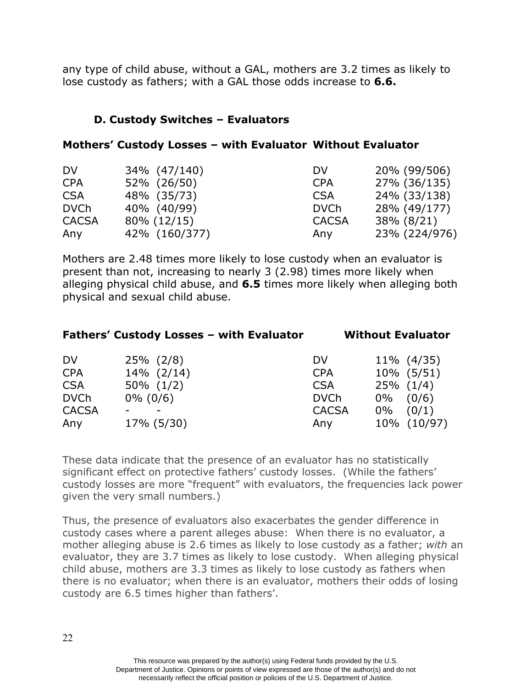any type of child abuse, without a GAL, mothers are 3.2 times as likely to lose custody as fathers; with a GAL those odds increase to **6.6.**

# **D. Custody Switches – Evaluators**

# **Mothers' Custody Losses – with Evaluator Without Evaluator**

| DV           | 34% (47/140)   | DV           | 20% (99/506)  |
|--------------|----------------|--------------|---------------|
| <b>CPA</b>   | 52% (26/50)    | <b>CPA</b>   | 27% (36/135)  |
| <b>CSA</b>   | 48% (35/73)    | <b>CSA</b>   | 24% (33/138)  |
| <b>DVCh</b>  | 40% (40/99)    | <b>DVCh</b>  | 28% (49/177)  |
| <b>CACSA</b> | $80\% (12/15)$ | <b>CACSA</b> | 38% (8/21)    |
| Any          | 42% (160/377)  | Any          | 23% (224/976) |

Mothers are 2.48 times more likely to lose custody when an evaluator is present than not, increasing to nearly 3 (2.98) times more likely when alleging physical child abuse, and **6.5** times more likely when alleging both physical and sexual child abuse.

| <b>Fathers' Custody Losses - with Evaluator</b> |  | <b>Without Evaluator</b> |
|-------------------------------------------------|--|--------------------------|
|                                                 |  |                          |
|                                                 |  |                          |

| $25\%$ (2/8)   | DV           | $11\%$ (4/35)  |
|----------------|--------------|----------------|
| $14\%$ (2/14)  | <b>CPA</b>   | 10% (5/51)     |
| $50\%$ $(1/2)$ | <b>CSA</b>   | $25\%$ $(1/4)$ |
| $0\% (0/6)$    | <b>DVCh</b>  | $0\%$ (0/6)    |
|                | <b>CACSA</b> | $0\%$ $(0/1)$  |
| 17% (5/30)     | Any          | 10% (10/97)    |
|                |              |                |

These data indicate that the presence of an evaluator has no statistically significant effect on protective fathers' custody losses. (While the fathers' custody losses are more "frequent" with evaluators, the frequencies lack power given the very small numbers.)

Thus, the presence of evaluators also exacerbates the gender difference in custody cases where a parent alleges abuse: When there is no evaluator, a mother alleging abuse is 2.6 times as likely to lose custody as a father; *with* an evaluator, they are 3.7 times as likely to lose custody. When alleging physical child abuse, mothers are 3.3 times as likely to lose custody as fathers when there is no evaluator; when there is an evaluator, mothers their odds of losing custody are 6.5 times higher than fathers'.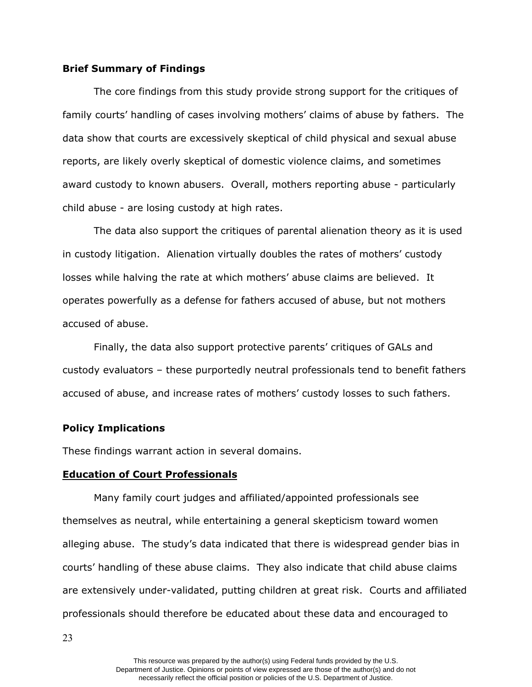#### **Brief Summary of Findings**

The core findings from this study provide strong support for the critiques of family courts' handling of cases involving mothers' claims of abuse by fathers. The data show that courts are excessively skeptical of child physical and sexual abuse reports, are likely overly skeptical of domestic violence claims, and sometimes award custody to known abusers. Overall, mothers reporting abuse - particularly child abuse - are losing custody at high rates.

The data also support the critiques of parental alienation theory as it is used in custody litigation. Alienation virtually doubles the rates of mothers' custody losses while halving the rate at which mothers' abuse claims are believed. It operates powerfully as a defense for fathers accused of abuse, but not mothers accused of abuse.

Finally, the data also support protective parents' critiques of GALs and custody evaluators – these purportedly neutral professionals tend to benefit fathers accused of abuse, and increase rates of mothers' custody losses to such fathers.

#### **Policy Implications**

These findings warrant action in several domains.

#### **Education of Court Professionals**

Many family court judges and affiliated/appointed professionals see themselves as neutral, while entertaining a general skepticism toward women alleging abuse. The study's data indicated that there is widespread gender bias in courts' handling of these abuse claims. They also indicate that child abuse claims are extensively under-validated, putting children at great risk. Courts and affiliated professionals should therefore be educated about these data and encouraged to

23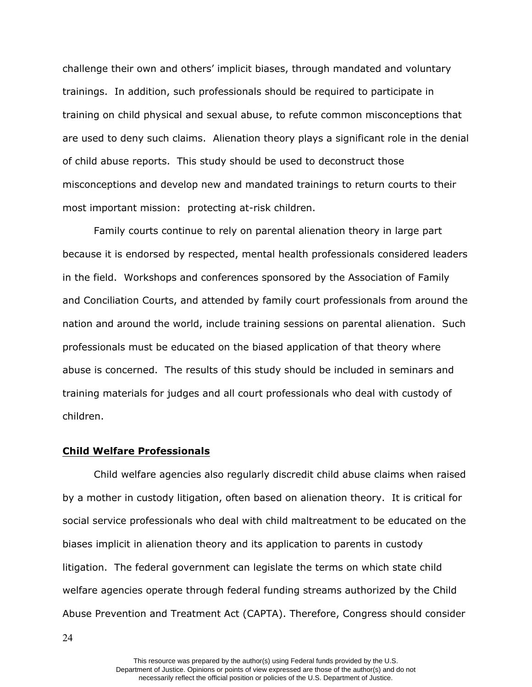challenge their own and others' implicit biases, through mandated and voluntary trainings. In addition, such professionals should be required to participate in training on child physical and sexual abuse, to refute common misconceptions that are used to deny such claims. Alienation theory plays a significant role in the denial of child abuse reports. This study should be used to deconstruct those misconceptions and develop new and mandated trainings to return courts to their most important mission: protecting at-risk children.

Family courts continue to rely on parental alienation theory in large part because it is endorsed by respected, mental health professionals considered leaders in the field. Workshops and conferences sponsored by the Association of Family and Conciliation Courts, and attended by family court professionals from around the nation and around the world, include training sessions on parental alienation. Such professionals must be educated on the biased application of that theory where abuse is concerned. The results of this study should be included in seminars and training materials for judges and all court professionals who deal with custody of children.

#### **Child Welfare Professionals**

Child welfare agencies also regularly discredit child abuse claims when raised by a mother in custody litigation, often based on alienation theory. It is critical for social service professionals who deal with child maltreatment to be educated on the biases implicit in alienation theory and its application to parents in custody litigation. The federal government can legislate the terms on which state child welfare agencies operate through federal funding streams authorized by the Child Abuse Prevention and Treatment Act (CAPTA). Therefore, Congress should consider

24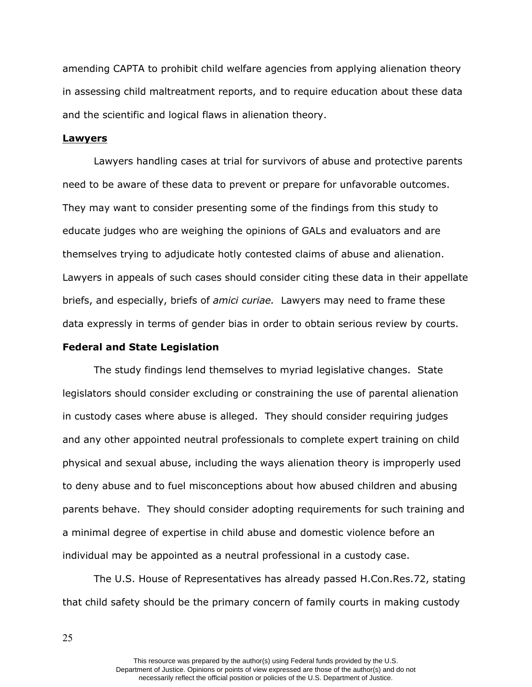amending CAPTA to prohibit child welfare agencies from applying alienation theory in assessing child maltreatment reports, and to require education about these data and the scientific and logical flaws in alienation theory.

#### **Lawyers**

Lawyers handling cases at trial for survivors of abuse and protective parents need to be aware of these data to prevent or prepare for unfavorable outcomes. They may want to consider presenting some of the findings from this study to educate judges who are weighing the opinions of GALs and evaluators and are themselves trying to adjudicate hotly contested claims of abuse and alienation. Lawyers in appeals of such cases should consider citing these data in their appellate briefs, and especially, briefs of *amici curiae.* Lawyers may need to frame these data expressly in terms of gender bias in order to obtain serious review by courts.

#### **Federal and State Legislation**

The study findings lend themselves to myriad legislative changes. State legislators should consider excluding or constraining the use of parental alienation in custody cases where abuse is alleged. They should consider requiring judges and any other appointed neutral professionals to complete expert training on child physical and sexual abuse, including the ways alienation theory is improperly used to deny abuse and to fuel misconceptions about how abused children and abusing parents behave. They should consider adopting requirements for such training and a minimal degree of expertise in child abuse and domestic violence before an individual may be appointed as a neutral professional in a custody case.

The U.S. House of Representatives has already passed [H.Con.Res.72](https://H.Con.Res.72), stating that child safety should be the primary concern of family courts in making custody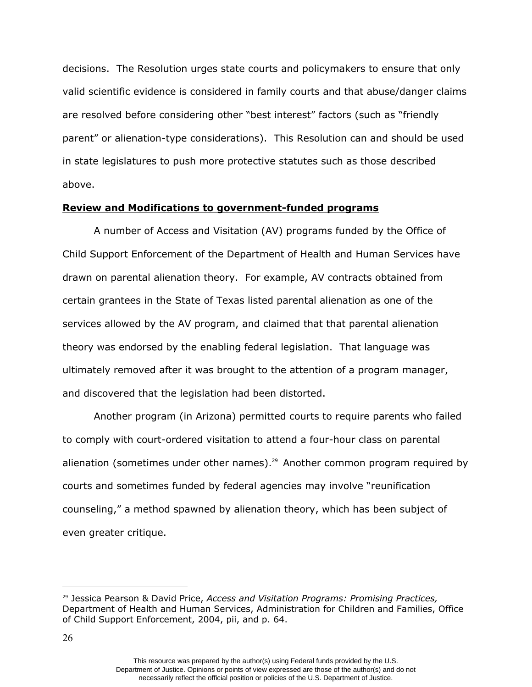decisions. The Resolution urges state courts and policymakers to ensure that only valid scientific evidence is considered in family courts and that abuse/danger claims are resolved before considering other "best interest" factors (such as "friendly parent" or alienation-type considerations). This Resolution can and should be used in state legislatures to push more protective statutes such as those described above.

#### **Review and Modifications to government-funded programs**

A number of Access and Visitation (AV) programs funded by the Office of Child Support Enforcement of the Department of Health and Human Services have drawn on parental alienation theory. For example, AV contracts obtained from certain grantees in the State of Texas listed parental alienation as one of the services allowed by the AV program, and claimed that that parental alienation theory was endorsed by the enabling federal legislation. That language was ultimately removed after it was brought to the attention of a program manager, and discovered that the legislation had been distorted.

Another program (in Arizona) permitted courts to require parents who failed to comply with court-ordered visitation to attend a four-hour class on parental alienation (sometimes under other names).<sup>29</sup> Another common program required by courts and sometimes funded by federal agencies may involve "reunification counseling," a method spawned by alienation theory, which has been subject of even greater critique.

<sup>29</sup> Jessica Pearson & David Price, *Access and Visitation Programs: Promising Practices,*  Department of Health and Human Services, Administration for Children and Families, Office of Child Support Enforcement, 2004, pii, and p. 64.